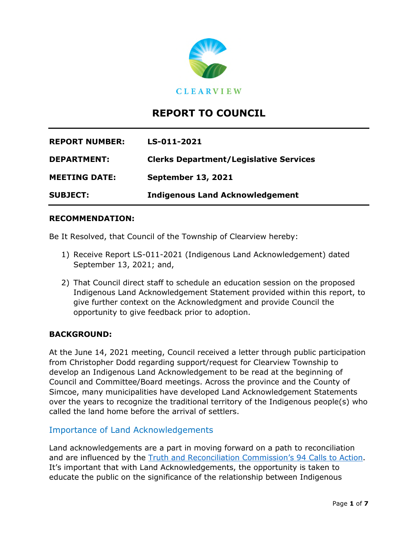

# **REPORT TO COUNCIL**

| <b>REPORT NUMBER:</b> | LS-011-2021                                   |
|-----------------------|-----------------------------------------------|
| <b>DEPARTMENT:</b>    | <b>Clerks Department/Legislative Services</b> |
| <b>MEETING DATE:</b>  | <b>September 13, 2021</b>                     |
| <b>SUBJECT:</b>       | <b>Indigenous Land Acknowledgement</b>        |

#### **RECOMMENDATION:**

Be It Resolved, that Council of the Township of Clearview hereby:

- 1) Receive Report LS-011-2021 (Indigenous Land Acknowledgement) dated September 13, 2021; and,
- 2) That Council direct staff to schedule an education session on the proposed Indigenous Land Acknowledgement Statement provided within this report, to give further context on the Acknowledgment and provide Council the opportunity to give feedback prior to adoption.

#### **BACKGROUND:**

At the June 14, 2021 meeting, Council received a letter through public participation from Christopher Dodd regarding support/request for Clearview Township to develop an Indigenous Land Acknowledgement to be read at the beginning of Council and Committee/Board meetings. Across the province and the County of Simcoe, many municipalities have developed Land Acknowledgement Statements over the years to recognize the traditional territory of the Indigenous people(s) who called the land home before the arrival of settlers.

#### Importance of Land Acknowledgements

Land acknowledgements are a part in moving forward on a path to reconciliation and are influenced by the Truth and Reconciliation Commission's 94 Calls to Action. It's important that with Land Acknowledgements, the opportunity is taken to educate the public on the significance of the relationship between Indigenous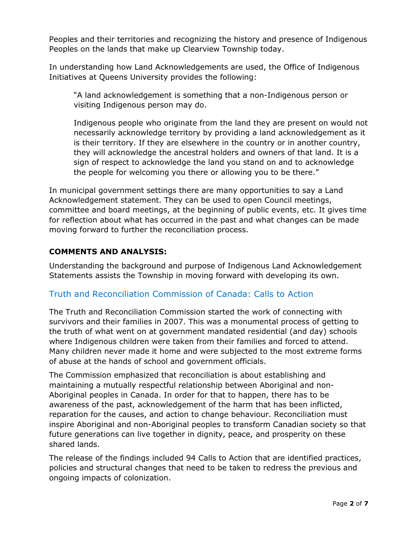Peoples and their territories and recognizing the history and presence of Indigenous Peoples on the lands that make up Clearview Township today.

In understanding how Land Acknowledgements are used, the Office of Indigenous Initiatives at Queens University provides the following:

"A land acknowledgement is something that a non-Indigenous person or visiting Indigenous person may do.

Indigenous people who originate from the land they are present on would not necessarily acknowledge territory by providing a land acknowledgement as it is their territory. If they are elsewhere in the country or in another country, they will acknowledge the ancestral holders and owners of that land. It is a sign of respect to acknowledge the land you stand on and to acknowledge the people for welcoming you there or allowing you to be there."

In municipal government settings there are many opportunities to say a Land Acknowledgement statement. They can be used to open Council meetings, committee and board meetings, at the beginning of public events, etc. It gives time for reflection about what has occurred in the past and what changes can be made moving forward to further the reconciliation process.

## **COMMENTS AND ANALYSIS:**

Understanding the background and purpose of Indigenous Land Acknowledgement Statements assists the Township in moving forward with developing its own.

## Truth and Reconciliation Commission of Canada: Calls to Action

The Truth and Reconciliation Commission started the work of connecting with survivors and their families in 2007. This was a monumental process of getting to the truth of what went on at government mandated residential (and day) schools where Indigenous children were taken from their families and forced to attend. Many children never made it home and were subjected to the most extreme forms of abuse at the hands of school and government officials.

The Commission emphasized that reconciliation is about establishing and maintaining a mutually respectful relationship between Aboriginal and non-Aboriginal peoples in Canada. In order for that to happen, there has to be awareness of the past, acknowledgement of the harm that has been inflicted, reparation for the causes, and action to change behaviour. Reconciliation must inspire Aboriginal and non-Aboriginal peoples to transform Canadian society so that future generations can live together in dignity, peace, and prosperity on these shared lands.

The release of the findings included 94 Calls to Action that are identified practices, policies and structural changes that need to be taken to redress the previous and ongoing impacts of colonization.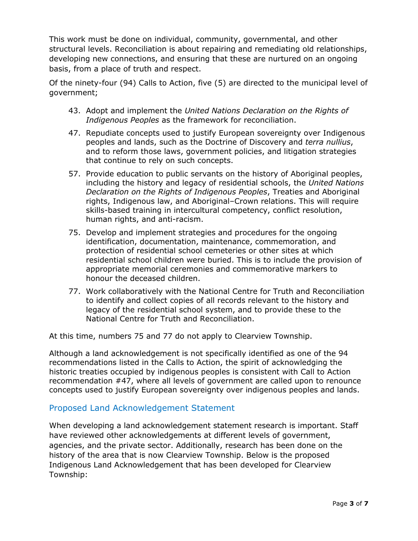This work must be done on individual, community, governmental, and other structural levels. Reconciliation is about repairing and remediating old relationships, developing new connections, and ensuring that these are nurtured on an ongoing basis, from a place of truth and respect.

Of the ninety-four (94) Calls to Action, five (5) are directed to the municipal level of government;

- 43. Adopt and implement the *United Nations Declaration on the Rights of Indigenous Peoples* as the framework for reconciliation.
- 47. Repudiate concepts used to justify European sovereignty over Indigenous peoples and lands, such as the Doctrine of Discovery and *terra nullius*, and to reform those laws, government policies, and litigation strategies that continue to rely on such concepts.
- 57. Provide education to public servants on the history of Aboriginal peoples, including the history and legacy of residential schools, the *United Nations Declaration on the Rights of Indigenous Peoples*, Treaties and Aboriginal rights, Indigenous law, and Aboriginal–Crown relations. This will require skills-based training in intercultural competency, conflict resolution, human rights, and anti-racism.
- 75. Develop and implement strategies and procedures for the ongoing identification, documentation, maintenance, commemoration, and protection of residential school cemeteries or other sites at which residential school children were buried. This is to include the provision of appropriate memorial ceremonies and commemorative markers to honour the deceased children.
- 77. Work collaboratively with the National Centre for Truth and Reconciliation to identify and collect copies of all records relevant to the history and legacy of the residential school system, and to provide these to the National Centre for Truth and Reconciliation.

At this time, numbers 75 and 77 do not apply to Clearview Township.

Although a land acknowledgement is not specifically identified as one of the 94 recommendations listed in the Calls to Action, the spirit of acknowledging the historic treaties occupied by indigenous peoples is consistent with Call to Action recommendation #47, where all levels of government are called upon to renounce concepts used to justify European sovereignty over indigenous peoples and lands.

## Proposed Land Acknowledgement Statement

When developing a land acknowledgement statement research is important. Staff have reviewed other acknowledgements at different levels of government, agencies, and the private sector. Additionally, research has been done on the history of the area that is now Clearview Township. Below is the proposed Indigenous Land Acknowledgement that has been developed for Clearview Township: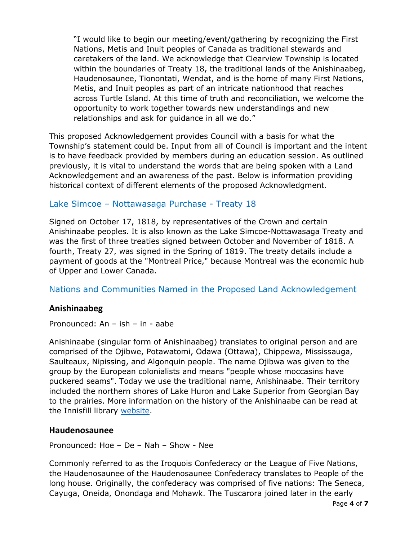"I would like to begin our meeting/event/gathering by recognizing the First Nations, Metis and Inuit peoples of Canada as traditional stewards and caretakers of the land. We acknowledge that Clearview Township is located within the boundaries of Treaty 18, the traditional lands of the Anishinaabeg, Haudenosaunee, Tionontati, Wendat, and is the home of many First Nations, Metis, and Inuit peoples as part of an intricate nationhood that reaches across Turtle Island. At this time of truth and reconciliation, we welcome the opportunity to work together towards new understandings and new relationships and ask for guidance in all we do."

This proposed Acknowledgement provides Council with a basis for what the Township's statement could be. Input from all of Council is important and the intent is to have feedback provided by members during an education session. As outlined previously, it is vital to understand the words that are being spoken with a Land Acknowledgement and an awareness of the past. Below is information providing historical context of different elements of the proposed Acknowledgment.

## Lake Simcoe – Nottawasaga Purchase - Treaty 18

Signed on October 17, 1818, by representatives of the Crown and certain Anishinaabe peoples. It is also known as the Lake Simcoe-Nottawasaga Treaty and was the first of three treaties signed between October and November of 1818. A fourth, Treaty 27, was signed in the Spring of 1819. The treaty details include a payment of goods at the "Montreal Price," because Montreal was the economic hub of Upper and Lower Canada.

Nations and Communities Named in the Proposed Land Acknowledgement

## **Anishinaabeg**

Pronounced: An – ish – in - aabe

Anishinaabe (singular form of Anishinaabeg) translates to original person and are comprised of the Ojibwe, Potawatomi, Odawa (Ottawa), Chippewa, Mississauga, Saulteaux, Nipissing, and Algonquin people. The name Ojibwa was given to the group by the European colonialists and means "people whose moccasins have puckered seams". Today we use the traditional name, Anishinaabe. Their territory included the northern shores of Lake Huron and Lake Superior from Georgian Bay to the prairies. More information on the history of the Anishinaabe can be read at the Innisfill library website.

## **Haudenosaunee**

Pronounced: Hoe – De – Nah – Show - Nee

Commonly referred to as the Iroquois Confederacy or the League of Five Nations, the Haudenosaunee of the Haudenosaunee Confederacy translates to People of the long house. Originally, the confederacy was comprised of five nations: The Seneca, Cayuga, Oneida, Onondaga and Mohawk. The Tuscarora joined later in the early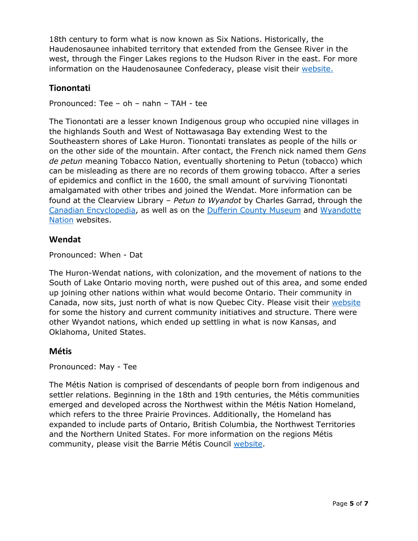18th century to form what is now known as Six Nations. Historically, the Haudenosaunee inhabited territory that extended from the Gensee River in the west, through the Finger Lakes regions to the Hudson River in the east. For more information on the Haudenosaunee Confederacy, please visit their website.

# **Tionontati**

Pronounced: Tee – oh – nahn – TAH - tee

The Tionontati are a lesser known Indigenous group who occupied nine villages in the highlands South and West of Nottawasaga Bay extending West to the Southeastern shores of Lake Huron. Tionontati translates as people of the hills or on the other side of the mountain. After contact, the French nick named them *Gens de petun* meaning Tobacco Nation, eventually shortening to Petun (tobacco) which can be misleading as there are no records of them growing tobacco. After a series of epidemics and conflict in the 1600, the small amount of surviving Tionontati amalgamated with other tribes and joined the Wendat. More information can be found at the Clearview Library – *Petun to Wyandot* by Charles Garrad, through the Canadian Encyclopedia, as well as on the Dufferin County Museum and Wyandotte Nation websites.

## **Wendat**

Pronounced: When - Dat

The Huron-Wendat nations, with colonization, and the movement of nations to the South of Lake Ontario moving north, were pushed out of this area, and some ended up joining other nations within what would become Ontario. Their community in Canada, now sits, just north of what is now Quebec City. Please visit their website for some the history and current community initiatives and structure. There were other Wyandot nations, which ended up settling in what is now Kansas, and Oklahoma, United States.

## **Métis**

Pronounced: May - Tee

The Métis Nation is comprised of descendants of people born from indigenous and settler relations. Beginning in the 18th and 19th centuries, the Métis communities emerged and developed across the Northwest within the Métis Nation Homeland, which refers to the three Prairie Provinces. Additionally, the Homeland has expanded to include parts of Ontario, British Columbia, the Northwest Territories and the Northern United States. For more information on the regions Métis community, please visit the Barrie Métis Council website.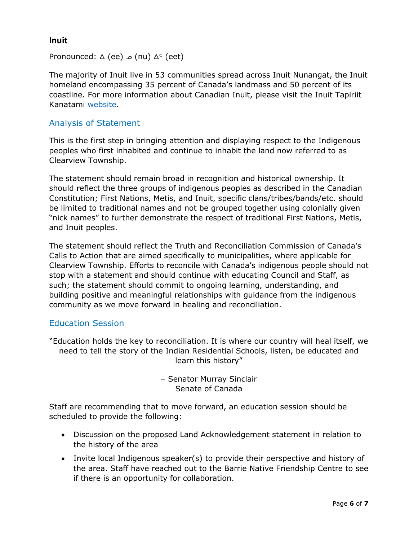## **Inuit**

 $Pronounced: \Delta (ee) \triangle (nu) \Delta^c (eet)$ 

The majority of Inuit live in 53 communities spread across Inuit Nunangat, the Inuit homeland encompassing 35 percent of Canada's landmass and 50 percent of its coastline. For more information about Canadian Inuit, please visit the Inuit Tapiriit Kanatami website.

#### Analysis of Statement

This is the first step in bringing attention and displaying respect to the Indigenous peoples who first inhabited and continue to inhabit the land now referred to as Clearview Township.

The statement should remain broad in recognition and historical ownership. It should reflect the three groups of indigenous peoples as described in the Canadian Constitution; First Nations, Metis, and Inuit, specific clans/tribes/bands/etc. should be limited to traditional names and not be grouped together using colonially given "nick names" to further demonstrate the respect of traditional First Nations, Metis, and Inuit peoples.

The statement should reflect the Truth and Reconciliation Commission of Canada's Calls to Action that are aimed specifically to municipalities, where applicable for Clearview Township. Efforts to reconcile with Canada's indigenous people should not stop with a statement and should continue with educating Council and Staff, as such; the statement should commit to ongoing learning, understanding, and building positive and meaningful relationships with guidance from the indigenous community as we move forward in healing and reconciliation.

#### Education Session

"Education holds the key to reconciliation. It is where our country will heal itself, we need to tell the story of the Indian Residential Schools, listen, be educated and learn this history"

> – Senator Murray Sinclair Senate of Canada

Staff are recommending that to move forward, an education session should be scheduled to provide the following:

- Discussion on the proposed Land Acknowledgement statement in relation to the history of the area
- Invite local Indigenous speaker(s) to provide their perspective and history of the area. Staff have reached out to the Barrie Native Friendship Centre to see if there is an opportunity for collaboration.